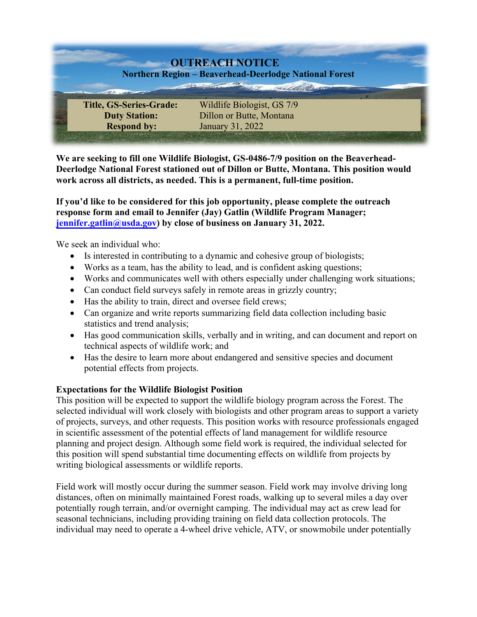

**We are seeking to fill one Wildlife Biologist, GS-0486-7/9 position on the Beaverhead-Deerlodge National Forest stationed out of Dillon or Butte, Montana. This position would work across all districts, as needed. This is a permanent, full-time position.**

**If you'd like to be considered for this job opportunity, please complete the outreach response form and email to [Jennifer \(Jay\) Gatlin \(Wildlife Program Manager;](mailto:jennifer.gatlin@usda.gov)  jennifer.gatlin@usda.gov) by close of business on January 31, 2022.** 

We seek an individual who:

- Is interested in contributing to a dynamic and cohesive group of biologists;
- Works as a team, has the ability to lead, and is confident asking questions;
- Works and communicates well with others especially under challenging work situations;
- Can conduct field surveys safely in remote areas in grizzly country;
- Has the ability to train, direct and oversee field crews;
- Can organize and write reports summarizing field data collection including basic statistics and trend analysis;
- Has good communication skills, verbally and in writing, and can document and report on technical aspects of wildlife work; and
- Has the desire to learn more about endangered and sensitive species and document potential effects from projects.

# **Expectations for the Wildlife Biologist Position**

This position will be expected to support the wildlife biology program across the Forest. The selected individual will work closely with biologists and other program areas to support a variety of projects, surveys, and other requests. This position works with resource professionals engaged in scientific assessment of the potential effects of land management for wildlife resource planning and project design. Although some field work is required, the individual selected for this position will spend substantial time documenting effects on wildlife from projects by writing biological assessments or wildlife reports.

Field work will mostly occur during the summer season. Field work may involve driving long distances, often on minimally maintained Forest roads, walking up to several miles a day over potentially rough terrain, and/or overnight camping. The individual may act as crew lead for seasonal technicians, including providing training on field data collection protocols. The individual may need to operate a 4-wheel drive vehicle, ATV, or snowmobile under potentially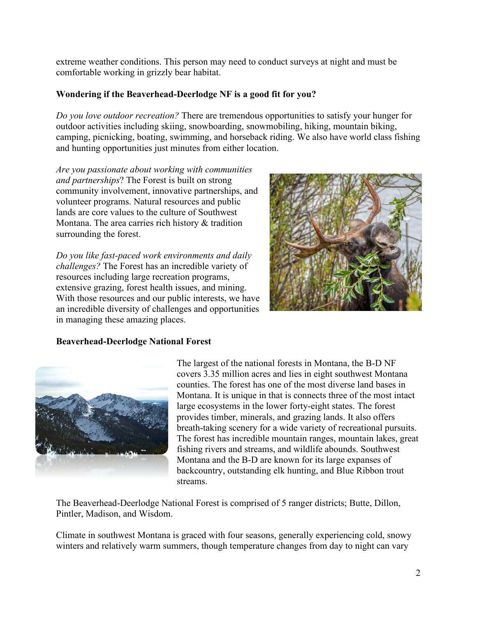extreme weather conditions. This person may need to conduct surveys at night and must be comfortable working in grizzly bear habitat.

# **Wondering if the Beaverhead-Deerlodge NF is a good fit for you?**

*Do you love outdoor recreation?* There are tremendous opportunities to satisfy your hunger for outdoor activities including skiing, snowboarding, snowmobiling, hiking, mountain biking, camping, picnicking, boating, swimming, and horseback riding. We also have world class fishing and hunting opportunities just minutes from either location.

*Are you passionate about working with communities and partnerships*? The Forest is built on strong community involvement, innovative partnerships, and volunteer programs. Natural resources and public lands are core values to the culture of Southwest Montana. The area carries rich history & tradition surrounding the forest.

*Do you like fast-paced work environments and daily challenges?* The Forest has an incredible variety of resources including large recreation programs, extensive grazing, forest health issues, and mining. With those resources and our public interests, we have an incredible diversity of challenges and opportunities in managing these amazing places.



# **Beaverhead-Deerlodge National Forest**



The largest of the national forests in Montana, the B-D NF covers 3.35 million acres and lies in eight southwest Montana counties. The forest has one of the most diverse land bases in Montana. It is unique in that is connects three of the most intact large ecosystems in the lower forty-eight states. The forest provides timber, minerals, and grazing lands. It also offers breath-taking scenery for a wide variety of recreational pursuits. The forest has incredible mountain ranges, mountain lakes, great fishing rivers and streams, and wildlife abounds. Southwest Montana and the B-D are known for its large expanses of backcountry, outstanding elk hunting, and Blue Ribbon trout streams.

The Beaverhead-Deerlodge National Forest is comprised of 5 ranger districts; Butte, Dillon, Pintler, Madison, and Wisdom.

Climate in southwest Montana is graced with four seasons, generally experiencing cold, snowy winters and relatively warm summers, though temperature changes from day to night can vary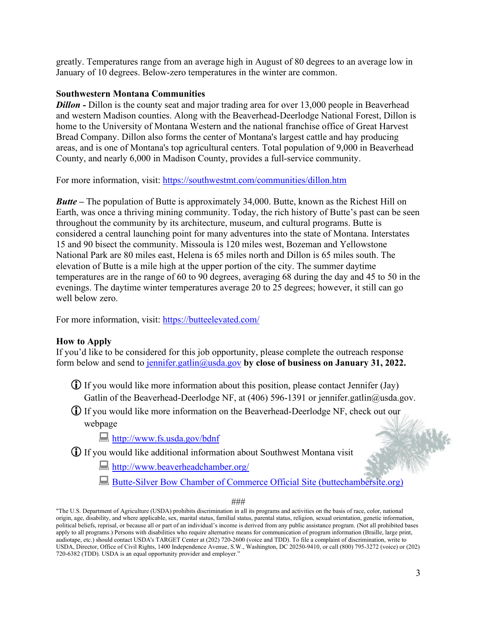greatly. Temperatures range from an average high in August of 80 degrees to an average low in January of 10 degrees. Below-zero temperatures in the winter are common.

#### **Southwestern Montana Communities**

*Dillon* - Dillon is the county seat and major trading area for over 13,000 people in Beaverhead and western Madison counties. Along with the Beaverhead-Deerlodge National Forest, Dillon is home to the University of Montana Western and the national franchise office of Great Harvest Bread Company. Dillon also forms the center of Montana's largest cattle and hay producing areas, and is one of Montana's top agricultural centers. Total population of 9,000 in Beaverhead County, and nearly 6,000 in Madison County, provides a full-service community.

For more information, visit:<https://southwestmt.com/communities/dillon.htm>

*Butte* – The population of Butte is approximately 34,000. Butte, known as the Richest Hill on Earth, was once a thriving mining community. Today, the rich history of Butte's past can be seen throughout the community by its architecture, museum, and cultural programs. Butte is considered a central launching point for many adventures into the state of Montana. Interstates 15 and 90 bisect the community. Missoula is 120 miles west, Bozeman and Yellowstone National Park are 80 miles east, Helena is 65 miles north and Dillon is 65 miles south. The elevation of Butte is a mile high at the upper portion of the city. The summer daytime temperatures are in the range of 60 to 90 degrees, averaging 68 during the day and 45 to 50 in the evenings. The daytime winter temperatures average 20 to 25 degrees; however, it still can go well below zero.

For more information, visit:<https://butteelevated.com/>

# **How to Apply**

If you'd like to be considered for this job opportunity, please complete the outreach response form below and send to [jennifer.gatlin@usda.gov](mailto:jennifer.gatlin@usda.gov) **by close of business on January 31, 2022.**

- $\bigoplus$  If you would like more information about this position, please contact Jennifer (Jay) Gatlin of the Beaverhead-Deerlodge NF, at (406) 596-1391 or jennifer.gatlin@usda.gov.
- If you would like more information on the Beaverhead-Deerlodge NF, check out our webpage

<http://www.fs.usda.gov/bdnf>

If you would like additional information about Southwest Montana visit

<http://www.beaverheadchamber.org/>

[Butte-Silver Bow Chamber of Commerce Official Site \(buttechambersite.org\)](https://www.buttechambersite.org/)

###

"The U.S. Department of Agriculture (USDA) prohibits discrimination in all its programs and activities on the basis of race, color, national origin, age, disability, and where applicable, sex, marital status, familial status, parental status, religion, sexual orientation, genetic information, political beliefs, reprisal, or because all or part of an individual's income is derived from any public assistance program. (Not all prohibited bases apply to all programs.) Persons with disabilities who require alternative means for communication of program information (Braille, large print, audiotape, etc.) should contact USDA's TARGET Center at (202) 720-2600 (voice and TDD). To file a complaint of discrimination, write to USDA, Director, Office of Civil Rights, 1400 Independence Avenue, S.W., Washington, DC 20250-9410, or call (800) 795-3272 (voice) or (202) 720-6382 (TDD). USDA is an equal opportunity provider and employer."